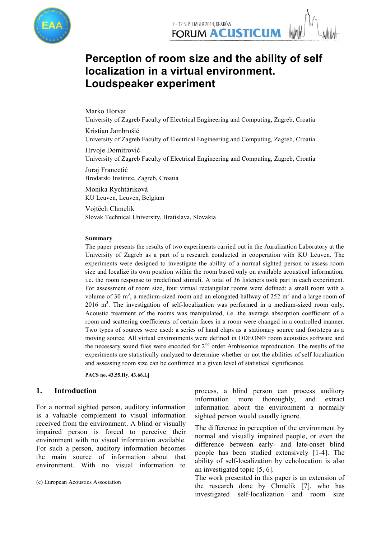

# **Perception of room size and the ability of self localization in a virtual environment. Loudspeaker experiment**

Marko Horvat

University of Zagreb Faculty of Electrical Engineering and Computing, Zagreb, Croatia

Kristian Jambrošić University of Zagreb Faculty of Electrical Engineering and Computing, Zagreb, Croatia

Hrvoje Domitrović University of Zagreb Faculty of Electrical Engineering and Computing, Zagreb, Croatia

Juraj Francetić Brodarski Institute, Zagreb, Croatia

Monika Rychtáriková KU Leuven, Leuven, Belgium

Vojtĕch Chmelik Slovak Technical University, Bratislava, Slovakia

#### **Summary**

The paper presents the results of two experiments carried out in the Auralization Laboratory at the University of Zagreb as a part of a research conducted in cooperation with KU Leuven. The experiments were designed to investigate the ability of a normal sighted person to assess room size and localize its own position within the room based only on available acoustical information, i.e. the room response to predefined stimuli. A total of 36 listeners took part in each experiment. For assessment of room size, four virtual rectangular rooms were defined: a small room with a volume of 30  $\text{m}^3$ , a medium-sized room and an elongated hallway of 252  $\text{m}^3$  and a large room of  $2016$  m<sup>3</sup>. The investigation of self-localization was performed in a medium-sized room only. Acoustic treatment of the rooms was manipulated, i.e. the average absorption coefficient of a room and scattering coefficients of certain faces in a room were changed in a controlled manner. Two types of sources were used: a series of hand claps as a stationary source and footsteps as a moving source. All virtual environments were defined in ODEON® room acoustics software and the necessary sound files were encoded for  $2<sup>nd</sup>$  order Ambisonics reproduction. The results of the experiments are statistically analyzed to determine whether or not the abilities of self localization and assessing room size can be confirmed at a given level of statistical significance.

**PACS no. 43.55.Hy, 43.66.Lj**

# **1. Introduction<sup>1</sup>**

For a normal sighted person, auditory information is a valuable complement to visual information received from the environment. A blind or visually impaired person is forced to perceive their environment with no visual information available. For such a person, auditory information becomes the main source of information about that environment. With no visual information to

1

process, a blind person can process auditory information more thoroughly, and extract information about the environment a normally sighted person would usually ignore.

The difference in perception of the environment by normal and visually impaired people, or even the difference between early- and late-onset blind people has been studied extensively [1-4]. The ability of self-localization by echolocation is also an investigated topic [5, 6].

The work presented in this paper is an extension of the research done by Chmelik [7], who has investigated self-localization and room size

<sup>1</sup> (c) European Acoustics Association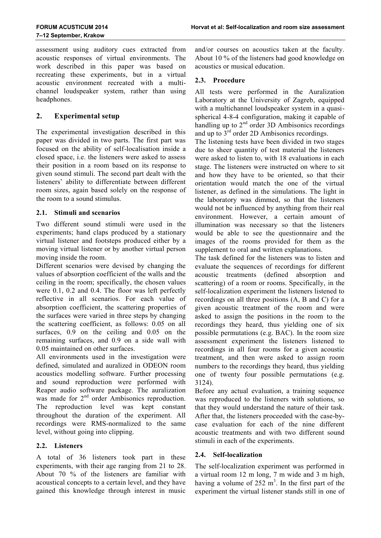assessment using auditory cues extracted from acoustic responses of virtual environments. The work described in this paper was based on recreating these experiments, but in a virtual acoustic environment recreated with a multichannel loudspeaker system, rather than using headphones.

# **2. Experimental setup**

The experimental investigation described in this paper was divided in two parts. The first part was focused on the ability of self-localisation inside a closed space, i.e. the listeners were asked to assess their position in a room based on its response to given sound stimuli. The second part dealt with the listeners' ability to differentiate between different room sizes, again based solely on the response of the room to a sound stimulus.

# **2.1. Stimuli and scenarios**

Two different sound stimuli were used in the experiments; hand claps produced by a stationary virtual listener and footsteps produced either by a moving virtual listener or by another virtual person moving inside the room.

Different scenarios were devised by changing the values of absorption coefficient of the walls and the ceiling in the room; specifically, the chosen values were 0.1, 0.2 and 0.4. The floor was left perfectly reflective in all scenarios. For each value of absorption coefficient, the scattering properties of the surfaces were varied in three steps by changing the scattering coefficient, as follows: 0.05 on all surfaces, 0.9 on the ceiling and 0.05 on the remaining surfaces, and 0.9 on a side wall with 0.05 maintained on other surfaces.

All environments used in the investigation were defined, simulated and auralized in ODEON room acoustics modelling software. Further processing and sound reproduction were performed with Reaper audio software package. The auralization was made for 2<sup>nd</sup> order Ambisonics reproduction. The reproduction level was kept constant throughout the duration of the experiment. All recordings were RMS-normalized to the same level, without going into clipping.

# **2.2. Listeners**

A total of 36 listeners took part in these experiments, with their age ranging from 21 to 28. About 70 % of the listeners are familiar with acoustical concepts to a certain level, and they have gained this knowledge through interest in music and/or courses on acoustics taken at the faculty. About 10 % of the listeners had good knowledge on acoustics or musical education.

#### **2.3. Procedure**

All tests were performed in the Auralization Laboratory at the University of Zagreb, equipped with a multichannel loudspeaker system in a quasispherical 4-8-4 configuration, making it capable of handling up to 2<sup>nd</sup> order 3D Ambisonics recordings and up to  $3<sup>rd</sup>$  order 2D Ambisonics recordings.

The listening tests have been divided in two stages due to sheer quantity of test material the listeners were asked to listen to, with 18 evaluations in each stage. The listeners were instructed on where to sit and how they have to be oriented, so that their orientation would match the one of the virtual listener, as defined in the simulations. The light in the laboratory was dimmed, so that the listeners would not be influenced by anything from their real environment. However, a certain amount of illumination was necessary so that the listeners would be able to see the questionnaire and the images of the rooms provided for them as the supplement to oral and written explanations.

The task defined for the listeners was to listen and evaluate the sequences of recordings for different acoustic treatments (defined absorption and scattering) of a room or rooms. Specifically, in the self-localization experiment the listeners listened to recordings on all three positions (A, B and C) for a given acoustic treatment of the room and were asked to assign the positions in the room to the recordings they heard, thus yielding one of six possible permutations (e.g. BAC). In the room size assessment experiment the listeners listened to recordings in all four rooms for a given acoustic treatment, and then were asked to assign room numbers to the recordings they heard, thus yielding one of twenty four possible permutations (e.g. 3124).

Before any actual evaluation, a training sequence was reproduced to the listeners with solutions, so that they would understand the nature of their task. After that, the listeners proceeded with the case-bycase evaluation for each of the nine different acoustic treatments and with two different sound stimuli in each of the experiments.

# **2.4. Self-localization**

The self-localization experiment was performed in a virtual room 12 m long, 7 m wide and 3 m high, having a volume of  $252 \text{ m}^3$ . In the first part of the experiment the virtual listener stands still in one of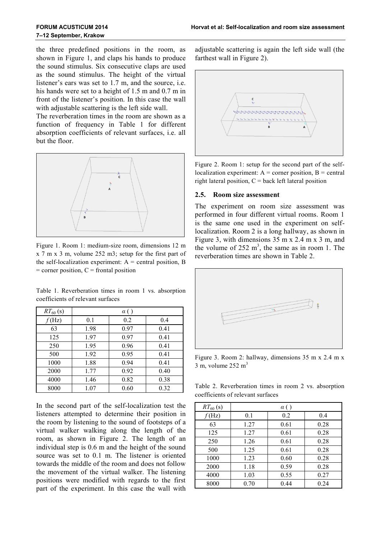the three predefined positions in the room, as shown in Figure 1, and claps his hands to produce the sound stimulus. Six consecutive claps are used as the sound stimulus. The height of the virtual listener's ears was set to 1.7 m, and the source, i.e. his hands were set to a height of 1.5 m and 0.7 m in front of the listener's position. In this case the wall with adjustable scattering is the left side wall.

The reverberation times in the room are shown as a function of frequency in Table 1 for different absorption coefficients of relevant surfaces, i.e. all but the floor.



Figure 1. Room 1: medium-size room, dimensions 12 m x 7 m x 3 m, volume 252 m3; setup for the first part of the self-localization experiment:  $A =$  central position, B  $=$  corner position,  $C =$  frontal position

|  |                                   |  |  |  | Table 1. Reverberation times in room 1 vs. absorption |
|--|-----------------------------------|--|--|--|-------------------------------------------------------|
|  | coefficients of relevant surfaces |  |  |  |                                                       |

| $RT_{60}$ (s)  |      | $\alpha$ ( |      |
|----------------|------|------------|------|
| $f(\text{Hz})$ | 0.1  | 0.2        | 0.4  |
| 63             | 1.98 | 0.97       | 0.41 |
| 125            | 1.97 | 0.97       | 0.41 |
| 250            | 1.95 | 0.96       | 0.41 |
| 500            | 1.92 | 0.95       | 0.41 |
| 1000           | 1.88 | 0.94       | 0.41 |
| 2000           | 1.77 | 0.92       | 0.40 |
| 4000           | 1.46 | 0.82       | 0.38 |
| 8000           | 1.07 | 0.60       | 0.32 |

In the second part of the self-localization test the listeners attempted to determine their position in the room by listening to the sound of footsteps of a virtual walker walking along the length of the room, as shown in Figure 2. The length of an individual step is 0.6 m and the height of the sound source was set to 0.1 m. The listener is oriented towards the middle of the room and does not follow the movement of the virtual walker. The listening positions were modified with regards to the first part of the experiment. In this case the wall with

adjustable scattering is again the left side wall (the farthest wall in Figure 2).



Figure 2. Room 1: setup for the second part of the selflocalization experiment:  $A =$  corner position,  $B =$  central right lateral position,  $C =$  back left lateral position

#### **2.5. Room size assessment**

The experiment on room size assessment was performed in four different virtual rooms. Room 1 is the same one used in the experiment on selflocalization. Room 2 is a long hallway, as shown in Figure 3, with dimensions 35 m x 2.4 m x 3 m, and the volume of  $252 \text{ m}^3$ , the same as in room 1. The reverberation times are shown in Table 2.



Figure 3. Room 2: hallway, dimensions 35 m x 2.4 m x  $3 \text{ m}$ , volume 252 m<sup>3</sup>

Table 2. Reverberation times in room 2 vs. absorption coefficients of relevant surfaces

| $RT_{60}$ (s)  |      | $\alpha$ () |      |
|----------------|------|-------------|------|
| $f(\text{Hz})$ | 0.1  | 0.2         | 0.4  |
| 63             | 1.27 | 0.61        | 0.28 |
| 125            | 1.27 | 0.61        | 0.28 |
| 250            | 1.26 | 0.61        | 0.28 |
| 500            | 1.25 | 0.61        | 0.28 |
| 1000           | 1.23 | 0.60        | 0.28 |
| 2000           | 1.18 | 0.59        | 0.28 |
| 4000           | 1.03 | 0.55        | 0.27 |
| 8000           | 0.70 | 0.44        | 0.24 |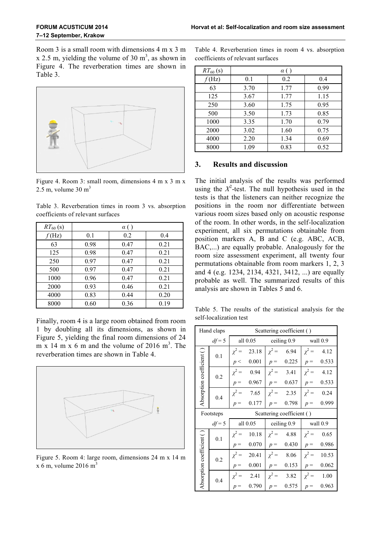Room 3 is a small room with dimensions 4 m x 3 m  $x$  2.5 m, yielding the volume of 30 m<sup>3</sup>, as shown in Figure 4. The reverberation times are shown in Table 3.



Figure 4. Room 3: small room, dimensions 4 m x 3 m x 2.5 m, volume  $30 \text{ m}^3$ 

Table 3. Reverberation times in room 3 vs. absorption coefficients of relevant surfaces

| $RT_{60}$ (s)  |      | $\alpha$ ( |      |
|----------------|------|------------|------|
| $f(\text{Hz})$ | 0.1  | 0.2        | 0.4  |
| 63             | 0.98 | 0.47       | 0.21 |
| 125            | 0.98 | 0.47       | 0.21 |
| 250            | 0.97 | 0.47       | 0.21 |
| 500            | 0.97 | 0.47       | 0.21 |
| 1000           | 0.96 | 0.47       | 0.21 |
| 2000           | 0.93 | 0.46       | 0.21 |
| 4000           | 0.83 | 0.44       | 0.20 |
| 8000           | 0.60 | 0.36       | 0.19 |

Finally, room 4 is a large room obtained from room 1 by doubling all its dimensions, as shown in Figure 5, yielding the final room dimensions of 24 m x 14 m x 6 m and the volume of 2016  $m<sup>3</sup>$ . The reverberation times are shown in Table 4.



Figure 5. Room 4: large room, dimensions 24 m x 14 m  $x$  6 m, volume 2016 m<sup>3</sup>

| Table 4. Reverberation times in room 4 vs. absorption |  |  |  |
|-------------------------------------------------------|--|--|--|
| coefficients of relevant surfaces                     |  |  |  |

| $RT_{60}$ (s)    | $\alpha$ ( |      |      |  |  |  |
|------------------|------------|------|------|--|--|--|
| $f(\mathrm{Hz})$ | 0.1        | 0.2  | 0.4  |  |  |  |
| 63               | 3.70       | 1.77 | 0.99 |  |  |  |
| 125              | 3.67       | 1.77 | 1.15 |  |  |  |
| 250              | 3.60       | 1.75 | 0.95 |  |  |  |
| 500              | 3.50       | 1.73 | 0.85 |  |  |  |
| 1000             | 3.35       | 1.70 | 0.79 |  |  |  |
| 2000             | 3.02       | 1.60 | 0.75 |  |  |  |
| 4000             | 2.20       | 1.34 | 0.69 |  |  |  |
| 8000             | 1.09       | 0.83 | 0.52 |  |  |  |

#### **3. Results and discussion**

The initial analysis of the results was performed using the  $X^2$ -test. The null hypothesis used in the tests is that the listeners can neither recognize the positions in the room nor differentiate between various room sizes based only on acoustic response of the room. In other words, in the self-localization experiment, all six permutations obtainable from position markers A, B and C (e.g. ABC, ACB, BAC,...) are equally probable. Analogously for the room size assessment experiment, all twenty four permutations obtainable from room markers 1, 2, 3 and 4 (e.g. 1234, 2134, 4321, 3412, ...) are equally probable as well. The summarized results of this analysis are shown in Tables 5 and 6.

Table 5. The results of the statistical analysis for the self-localization test

| Hand claps                |           |            |                           | Scattering coefficient () |                 |                               |                 |  |  |
|---------------------------|-----------|------------|---------------------------|---------------------------|-----------------|-------------------------------|-----------------|--|--|
|                           | $df = 5$  |            |                           |                           |                 | all 0.05 ceiling 0.9 wall 0.9 |                 |  |  |
|                           | 0.1       | $\chi^2 =$ | 23.18                     | $\chi^2 =$                | 6.94            | $\chi^2 =$                    | 4.12            |  |  |
| Absorption coefficient () |           | p <        | 0.001                     | $p =$                     | 0.225           | $p =$                         | 0.533           |  |  |
|                           | 0.2       | $\chi^2 =$ | 0.94                      |                           | $\chi^2 = 3.41$ |                               | $\chi^2 = 4.12$ |  |  |
|                           |           | $p =$      | 0.967                     | $p =$                     | 0.637           | $p =$                         | 0.533           |  |  |
|                           | 0.4       |            | $\chi^2 = 7.65$           |                           | $\chi^2 = 2.35$ |                               | $\chi^2 = 0.24$ |  |  |
|                           |           | $p =$      | 0.177                     | $p =$                     | 0.798           | $p =$                         | 0.999           |  |  |
|                           | Footsteps |            | Scattering coefficient () |                           |                 |                               |                 |  |  |
|                           | $df = 5$  |            | all $0.05$                |                           | ceiling 0.9     | wall 0.9                      |                 |  |  |
|                           | 0.1       | $\chi^2 =$ | 10.18                     |                           | $\chi^2 = 4.88$ | $\chi^2 =$                    | 0.65            |  |  |
|                           |           | $p =$      | 0.070                     | $p =$                     | 0.430           | $p =$                         | 0.986           |  |  |
| Absorption coefficient () | 0.2       | $\chi^2 =$ | 20.41                     |                           | $\chi^2 = 8.06$ | $\chi^2 =$                    | 10.53           |  |  |
|                           |           | $p =$      | 0.001                     | $p =$                     | 0.153           | $p =$                         | 0.062           |  |  |
|                           | 0.4       |            | $\chi^2 = 2.41$           |                           | $\chi^2 = 3.82$ | $\chi^2 =$                    | 1.00            |  |  |
|                           |           | $p =$      | 0.790                     | $p =$                     | 0.575           | $p =$                         | 0.963           |  |  |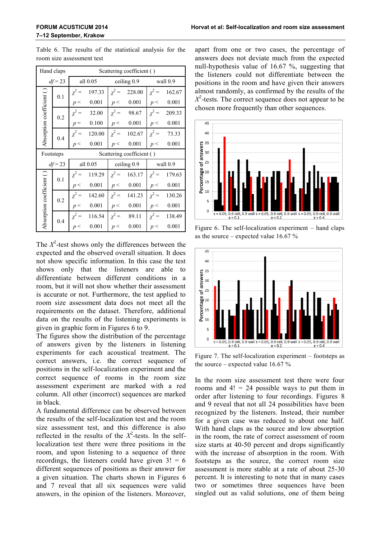|                           | Hand claps |                           |                  | Scattering coefficient () |                   |            |                   |  |  |
|---------------------------|------------|---------------------------|------------------|---------------------------|-------------------|------------|-------------------|--|--|
| $df = 23$                 |            |                           | all $0.05$       |                           | ceiling 0.9       | wall 0.9   |                   |  |  |
|                           | 0.1        | $\chi^2 =$                | 197.33           |                           | $\chi^2$ = 228.00 | $\chi^2 =$ | 162.67            |  |  |
|                           |            | p <                       | 0.001            |                           | p < 0.001         | p<         | 0.001             |  |  |
|                           | 0.2        |                           | $\chi^2$ = 32.00 |                           | $\chi^2 = 98.67$  | $\chi^2 =$ | 209.33            |  |  |
| Absorption coefficient () |            | $p =$                     | 0.100            |                           | p < 0.001         | p<         | 0.001             |  |  |
|                           | 0.4        | $\chi^2 =$                | 120.00           |                           | $\chi^2$ = 102.67 | $\chi^2 =$ | 73.33             |  |  |
|                           |            | p <                       | 0.001            | p<                        | 0.001             | p<         | 0.001             |  |  |
| Footsteps                 |            | Scattering coefficient () |                  |                           |                   |            |                   |  |  |
|                           | $df = 23$  |                           | all 0.05         |                           | ceiling 0.9       | wall 0.9   |                   |  |  |
|                           | 0.1        | $\chi^2 =$                | 119.29           |                           | $\chi^2$ = 163.17 |            | $\chi^2$ = 179.63 |  |  |
|                           |            | $p<$                      | 0.001            | p<                        | 0.001             | p<         | 0.001             |  |  |
|                           | 0.2        | $\chi^2 =$                | 142.60           |                           | $\chi^2$ = 141.23 | $\chi^2 =$ | 130.26            |  |  |
| Absorption coefficient () |            | p<                        | 0.001            | p<                        | 0.001             | p<         | 0.001             |  |  |
|                           | 0.4        | $\chi^2 =$                | 116.54           | $\chi^2 =$                | 89.11             | $\chi^2 =$ | 138.49            |  |  |
|                           |            | p<                        | 0.001            | p<                        | 0.001             | p<         | 0.001             |  |  |

Table 6. The results of the statistical analysis for the room size assessment test

The  $X^2$ -test shows only the differences between the expected and the observed overall situation. It does not show specific information. In this case the test shows only that the listeners are able to differentiate between different conditions in a room, but it will not show whether their assessment is accurate or not. Furthermore, the test applied to room size assessment data does not meet all the requirements on the dataset. Therefore, additional data on the results of the listening experiments is given in graphic form in Figures 6 to 9.

The figures show the distribution of the percentage of answers given by the listeners in listening experiments for each acoustical treatment. The correct answers, i.e. the correct sequence of positions in the self-localization experiment and the correct sequence of rooms in the room size assessment experiment are marked with a red column. All other (incorrect) sequences are marked in black.

A fundamental difference can be observed between the results of the self-localization test and the room size assessment test, and this difference is also reflected in the results of the  $X^2$ -tests. In the selflocalization test there were three positions in the room, and upon listening to a sequence of three recordings, the listeners could have given  $3! = 6$ different sequences of positions as their answer for a given situation. The charts shown in Figures 6 and 7 reveal that all six sequences were valid answers, in the opinion of the listeners. Moreover,

apart from one or two cases, the percentage of answers does not deviate much from the expected null-hypothesis value of 16.67 %, suggesting that the listeners could not differentiate between the positions in the room and have given their answers almost randomly, as confirmed by the results of the *Χ* 2 -tests. The correct sequence does not appear to be chosen more frequently than other sequences.



Figure 6. The self-localization experiment – hand claps as the source – expected value 16.67 %



Figure 7. The self-localization experiment – footsteps as the source – expected value  $16.67\%$ 

In the room size assessment test there were four rooms and  $4! = 24$  possible ways to put them in order after listening to four recordings. Figures 8 and 9 reveal that not all 24 possibilities have been recognized by the listeners. Instead, their number for a given case was reduced to about one half. With hand claps as the source and low absorption in the room, the rate of correct assessment of room size starts at 40-50 percent and drops significantly with the increase of absorption in the room. With footsteps as the source, the correct room size assessment is more stable at a rate of about 25-30 percent. It is interesting to note that in many cases two or sometimes three sequences have been singled out as valid solutions, one of them being